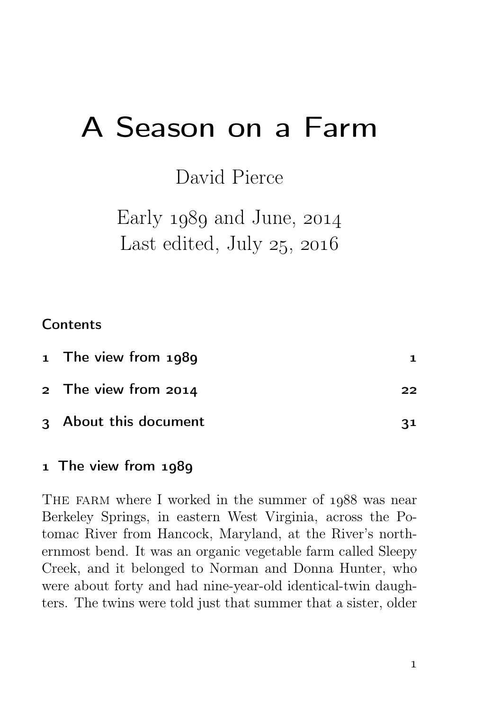# A Season on a Farm

David Pierce

Early  $1989$  and June,  $2014$ Last edited, July  $25, 2016$ 

### **Contents**

| 1 The view from 1989  |    |
|-----------------------|----|
| 2 The view from 2014  | 22 |
| 3 About this document | 31 |

#### 1 The view from 1989

THE FARM where I worked in the summer of 1988 was near Berkeley Springs, in eastern West Virginia, across the Potomac River from Hancock, Maryland, at the River's northernmost bend. It was an organic vegetable farm called Sleepy Creek, and it belonged to Norman and Donna Hunter, who were about forty and had nine-year-old identical-twin daughters. The twins were told just that summer that a sister, older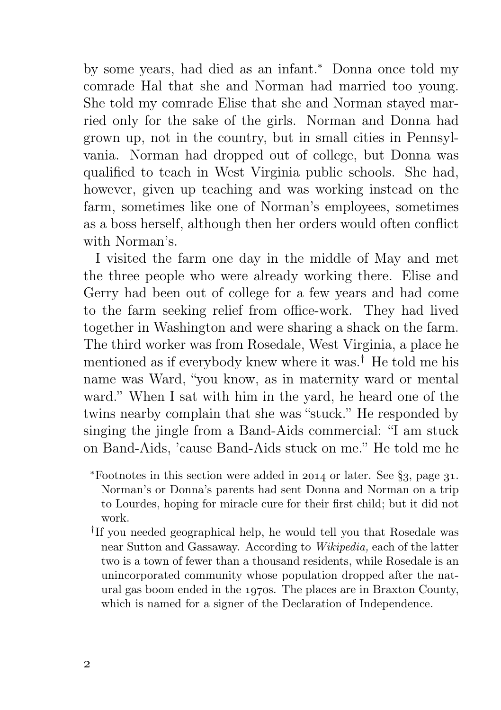by some years, had died as an infant.<sup>∗</sup> Donna once told my comrade Hal that she and Norman had married too young. She told my comrade Elise that she and Norman stayed married only for the sake of the girls. Norman and Donna had grown up, not in the country, but in small cities in Pennsylvania. Norman had dropped out of college, but Donna was qualified to teach in West Virginia public schools. She had, however, given up teaching and was working instead on the farm, sometimes like one of Norman's employees, sometimes as a boss herself, although then her orders would often conflict with Norman's.

I visited the farm one day in the middle of May and met the three people who were already working there. Elise and Gerry had been out of college for a few years and had come to the farm seeking relief from office-work. They had lived together in Washington and were sharing a shack on the farm. The third worker was from Rosedale, West Virginia, a place he mentioned as if everybody knew where it was.† He told me his name was Ward, "you know, as in maternity ward or mental ward." When I sat with him in the yard, he heard one of the twins nearby complain that she was "stuck." He responded by singing the jingle from a Band-Aids commercial: "I am stuck on Band-Aids, 'cause Band-Aids stuck on me." He told me he

<sup>\*</sup>Footnotes in this section were added in  $2014$  or later. See §3, page 31. Norman's or Donna's parents had sent Donna and Norman on a trip to Lourdes, hoping for miracle cure for their first child; but it did not work.

<sup>†</sup> If you needed geographical help, he would tell you that Rosedale was near Sutton and Gassaway. According to Wikipedia, each of the latter two is a town of fewer than a thousand residents, while Rosedale is an unincorporated community whose population dropped after the natural gas boom ended in the 1970s. The places are in Braxton County, which is named for a signer of the Declaration of Independence.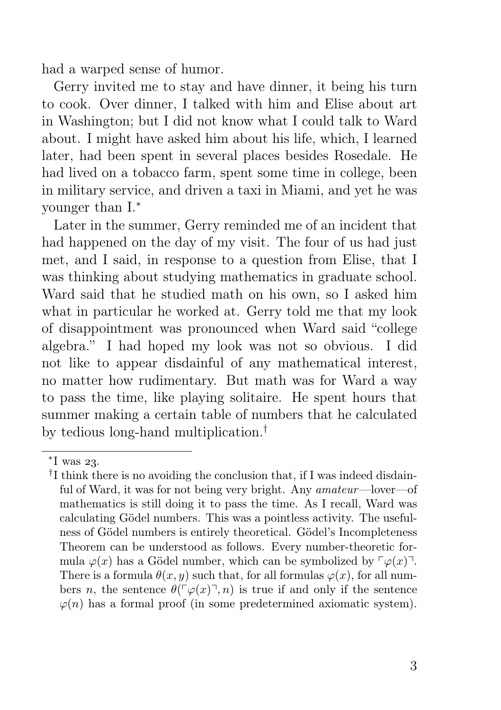had a warped sense of humor.

Gerry invited me to stay and have dinner, it being his turn to cook. Over dinner, I talked with him and Elise about art in Washington; but I did not know what I could talk to Ward about. I might have asked him about his life, which, I learned later, had been spent in several places besides Rosedale. He had lived on a tobacco farm, spent some time in college, been in military service, and driven a taxi in Miami, and yet he was younger than I.<sup>∗</sup>

Later in the summer, Gerry reminded me of an incident that had happened on the day of my visit. The four of us had just met, and I said, in response to a question from Elise, that I was thinking about studying mathematics in graduate school. Ward said that he studied math on his own, so I asked him what in particular he worked at. Gerry told me that my look of disappointment was pronounced when Ward said "college algebra." I had hoped my look was not so obvious. I did not like to appear disdainful of any mathematical interest, no matter how rudimentary. But math was for Ward a way to pass the time, like playing solitaire. He spent hours that summer making a certain table of numbers that he calculated by tedious long-hand multiplication.†

<sup>\*</sup>I was 23.

<sup>&</sup>lt;sup>†</sup>I think there is no avoiding the conclusion that, if I was indeed disdainful of Ward, it was for not being very bright. Any amateur—lover—of mathematics is still doing it to pass the time. As I recall, Ward was calculating Gödel numbers. This was a pointless activity. The usefulness of Gödel numbers is entirely theoretical. Gödel's Incompleteness Theorem can be understood as follows. Every number-theoretic formula  $\varphi(x)$  has a Gödel number, which can be symbolized by  $\lceil \varphi(x) \rceil$ . There is a formula  $\theta(x, y)$  such that, for all formulas  $\varphi(x)$ , for all numbers n, the sentence  $\theta(\ulcorner\varphi(x)\urcorner, n)$  is true if and only if the sentence  $\varphi(n)$  has a formal proof (in some predetermined axiomatic system).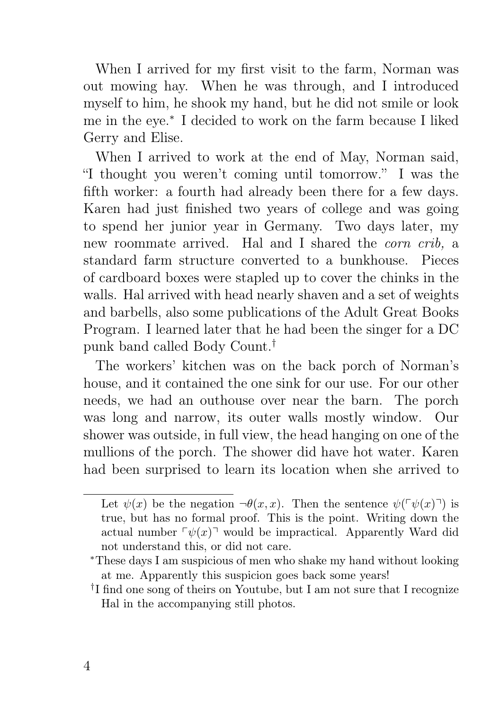When I arrived for my first visit to the farm, Norman was out mowing hay. When he was through, and I introduced myself to him, he shook my hand, but he did not smile or look me in the eye.<sup>∗</sup> I decided to work on the farm because I liked Gerry and Elise.

When I arrived to work at the end of May, Norman said, "I thought you weren't coming until tomorrow." I was the fifth worker: a fourth had already been there for a few days. Karen had just finished two years of college and was going to spend her junior year in Germany. Two days later, my new roommate arrived. Hal and I shared the corn crib, a standard farm structure converted to a bunkhouse. Pieces of cardboard boxes were stapled up to cover the chinks in the walls. Hal arrived with head nearly shaven and a set of weights and barbells, also some publications of the Adult Great Books Program. I learned later that he had been the singer for a DC punk band called Body Count.†

The workers' kitchen was on the back porch of Norman's house, and it contained the one sink for our use. For our other needs, we had an outhouse over near the barn. The porch was long and narrow, its outer walls mostly window. Our shower was outside, in full view, the head hanging on one of the mullions of the porch. The shower did have hot water. Karen had been surprised to learn its location when she arrived to

Let  $\psi(x)$  be the negation  $\neg \theta(x, x)$ . Then the sentence  $\psi(\neg \psi(x) \neg)$  is true, but has no formal proof. This is the point. Writing down the actual number  $\lceil \psi(x) \rceil$  would be impractical. Apparently Ward did not understand this, or did not care.

<sup>∗</sup>These days I am suspicious of men who shake my hand without looking at me. Apparently this suspicion goes back some years!

<sup>&</sup>lt;sup>†</sup>I find one song of theirs on Youtube, but I am not sure that I recognize Hal in the accompanying still photos.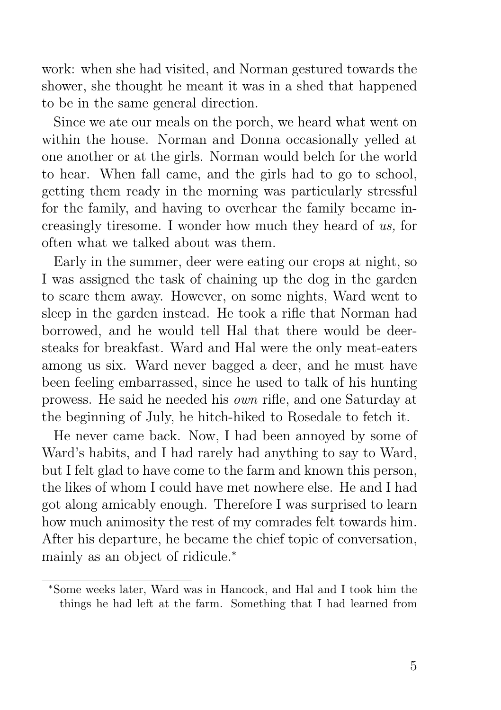work: when she had visited, and Norman gestured towards the shower, she thought he meant it was in a shed that happened to be in the same general direction.

Since we ate our meals on the porch, we heard what went on within the house. Norman and Donna occasionally yelled at one another or at the girls. Norman would belch for the world to hear. When fall came, and the girls had to go to school, getting them ready in the morning was particularly stressful for the family, and having to overhear the family became increasingly tiresome. I wonder how much they heard of us, for often what we talked about was them.

Early in the summer, deer were eating our crops at night, so I was assigned the task of chaining up the dog in the garden to scare them away. However, on some nights, Ward went to sleep in the garden instead. He took a rifle that Norman had borrowed, and he would tell Hal that there would be deersteaks for breakfast. Ward and Hal were the only meat-eaters among us six. Ward never bagged a deer, and he must have been feeling embarrassed, since he used to talk of his hunting prowess. He said he needed his own rifle, and one Saturday at the beginning of July, he hitch-hiked to Rosedale to fetch it.

He never came back. Now, I had been annoyed by some of Ward's habits, and I had rarely had anything to say to Ward, but I felt glad to have come to the farm and known this person, the likes of whom I could have met nowhere else. He and I had got along amicably enough. Therefore I was surprised to learn how much animosity the rest of my comrades felt towards him. After his departure, he became the chief topic of conversation, mainly as an object of ridicule.<sup>∗</sup>

<sup>∗</sup>Some weeks later, Ward was in Hancock, and Hal and I took him the things he had left at the farm. Something that I had learned from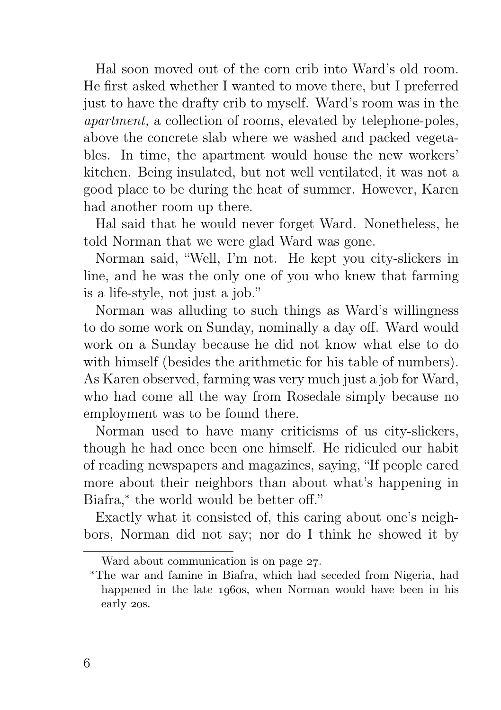Hal soon moved out of the corn crib into Ward's old room. He first asked whether I wanted to move there, but I preferred just to have the drafty crib to myself. Ward's room was in the apartment, a collection of rooms, elevated by telephone-poles, above the concrete slab where we washed and packed vegetables. In time, the apartment would house the new workers' kitchen. Being insulated, but not well ventilated, it was not a good place to be during the heat of summer. However, Karen had another room up there.

Hal said that he would never forget Ward. Nonetheless, he told Norman that we were glad Ward was gone.

Norman said, "Well, I'm not. He kept you city-slickers in line, and he was the only one of you who knew that farming is a life-style, not just a job."

Norman was alluding to such things as Ward's willingness to do some work on Sunday, nominally a day off. Ward would work on a Sunday because he did not know what else to do with himself (besides the arithmetic for his table of numbers). As Karen observed, farming was very much just a job for Ward, who had come all the way from Rosedale simply because no employment was to be found there.

Norman used to have many criticisms of us city-slickers, though he had once been one himself. He ridiculed our habit of reading newspapers and magazines, saying, "If people cared more about their neighbors than about what's happening in Biafra,<sup>∗</sup> the world would be better off."

Exactly what it consisted of, this caring about one's neighbors, Norman did not say; nor do I think he showed it by

Ward about communication is on page 27.

<sup>∗</sup>The war and famine in Biafra, which had seceded from Nigeria, had happened in the late 1960s, when Norman would have been in his early 20s.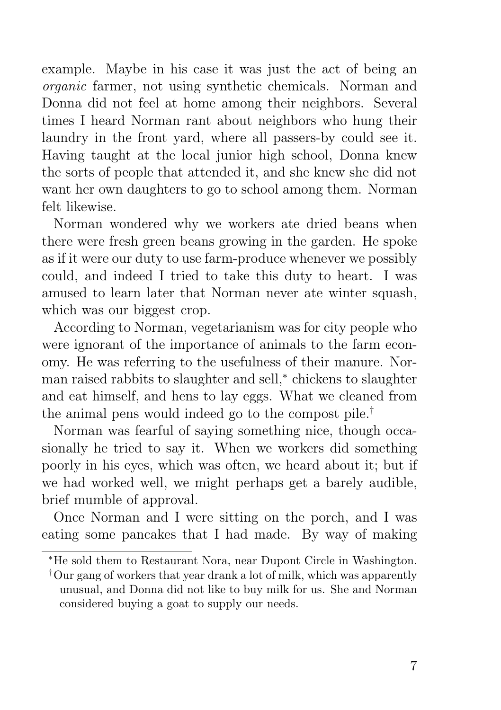example. Maybe in his case it was just the act of being an organic farmer, not using synthetic chemicals. Norman and Donna did not feel at home among their neighbors. Several times I heard Norman rant about neighbors who hung their laundry in the front yard, where all passers-by could see it. Having taught at the local junior high school, Donna knew the sorts of people that attended it, and she knew she did not want her own daughters to go to school among them. Norman felt likewise.

Norman wondered why we workers ate dried beans when there were fresh green beans growing in the garden. He spoke as if it were our duty to use farm-produce whenever we possibly could, and indeed I tried to take this duty to heart. I was amused to learn later that Norman never ate winter squash, which was our biggest crop.

According to Norman, vegetarianism was for city people who were ignorant of the importance of animals to the farm economy. He was referring to the usefulness of their manure. Norman raised rabbits to slaughter and sell,<sup>∗</sup> chickens to slaughter and eat himself, and hens to lay eggs. What we cleaned from the animal pens would indeed go to the compost pile.†

Norman was fearful of saying something nice, though occasionally he tried to say it. When we workers did something poorly in his eyes, which was often, we heard about it; but if we had worked well, we might perhaps get a barely audible, brief mumble of approval.

Once Norman and I were sitting on the porch, and I was eating some pancakes that I had made. By way of making

<sup>∗</sup>He sold them to Restaurant Nora, near Dupont Circle in Washington.

<sup>†</sup>Our gang of workers that year drank a lot of milk, which was apparently unusual, and Donna did not like to buy milk for us. She and Norman considered buying a goat to supply our needs.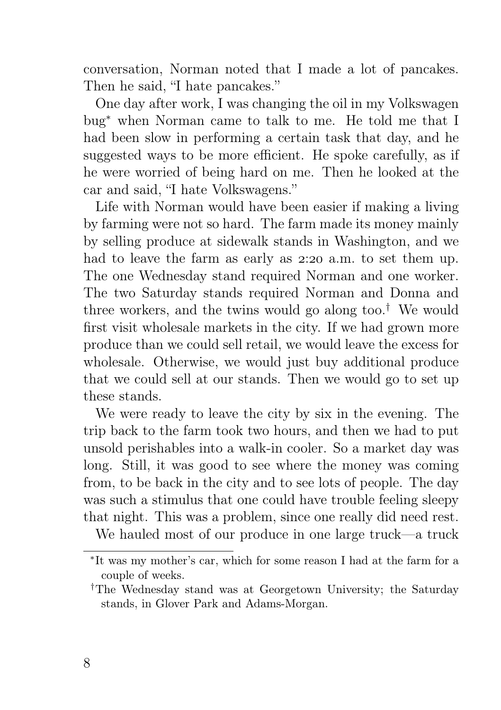conversation, Norman noted that I made a lot of pancakes. Then he said, "I hate pancakes."

One day after work, I was changing the oil in my Volkswagen bug<sup>∗</sup> when Norman came to talk to me. He told me that I had been slow in performing a certain task that day, and he suggested ways to be more efficient. He spoke carefully, as if he were worried of being hard on me. Then he looked at the car and said, "I hate Volkswagens."

Life with Norman would have been easier if making a living by farming were not so hard. The farm made its money mainly by selling produce at sidewalk stands in Washington, and we had to leave the farm as early as 2:20 a.m. to set them up. The one Wednesday stand required Norman and one worker. The two Saturday stands required Norman and Donna and three workers, and the twins would go along too.<sup>†</sup> We would first visit wholesale markets in the city. If we had grown more produce than we could sell retail, we would leave the excess for wholesale. Otherwise, we would just buy additional produce that we could sell at our stands. Then we would go to set up these stands.

We were ready to leave the city by six in the evening. The trip back to the farm took two hours, and then we had to put unsold perishables into a walk-in cooler. So a market day was long. Still, it was good to see where the money was coming from, to be back in the city and to see lots of people. The day was such a stimulus that one could have trouble feeling sleepy that night. This was a problem, since one really did need rest.

We hauled most of our produce in one large truck—a truck

<sup>∗</sup> It was my mother's car, which for some reason I had at the farm for a couple of weeks.

<sup>†</sup>The Wednesday stand was at Georgetown University; the Saturday stands, in Glover Park and Adams-Morgan.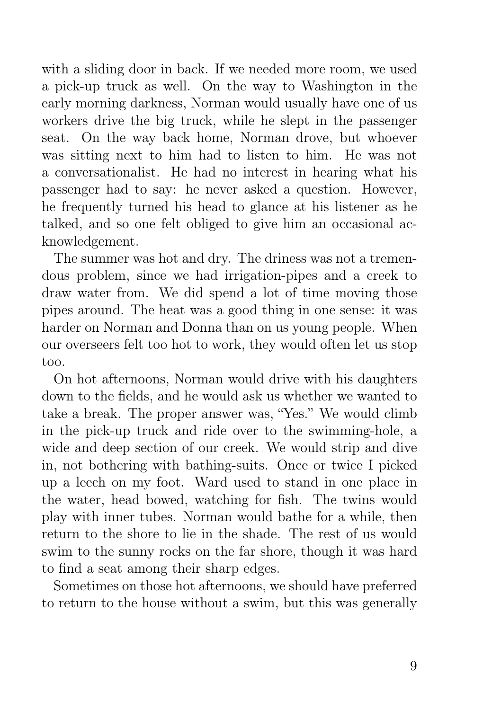with a sliding door in back. If we needed more room, we used a pick-up truck as well. On the way to Washington in the early morning darkness, Norman would usually have one of us workers drive the big truck, while he slept in the passenger seat. On the way back home, Norman drove, but whoever was sitting next to him had to listen to him. He was not a conversationalist. He had no interest in hearing what his passenger had to say: he never asked a question. However, he frequently turned his head to glance at his listener as he talked, and so one felt obliged to give him an occasional acknowledgement.

The summer was hot and dry. The driness was not a tremendous problem, since we had irrigation-pipes and a creek to draw water from. We did spend a lot of time moving those pipes around. The heat was a good thing in one sense: it was harder on Norman and Donna than on us young people. When our overseers felt too hot to work, they would often let us stop too.

On hot afternoons, Norman would drive with his daughters down to the fields, and he would ask us whether we wanted to take a break. The proper answer was, "Yes." We would climb in the pick-up truck and ride over to the swimming-hole, a wide and deep section of our creek. We would strip and dive in, not bothering with bathing-suits. Once or twice I picked up a leech on my foot. Ward used to stand in one place in the water, head bowed, watching for fish. The twins would play with inner tubes. Norman would bathe for a while, then return to the shore to lie in the shade. The rest of us would swim to the sunny rocks on the far shore, though it was hard to find a seat among their sharp edges.

Sometimes on those hot afternoons, we should have preferred to return to the house without a swim, but this was generally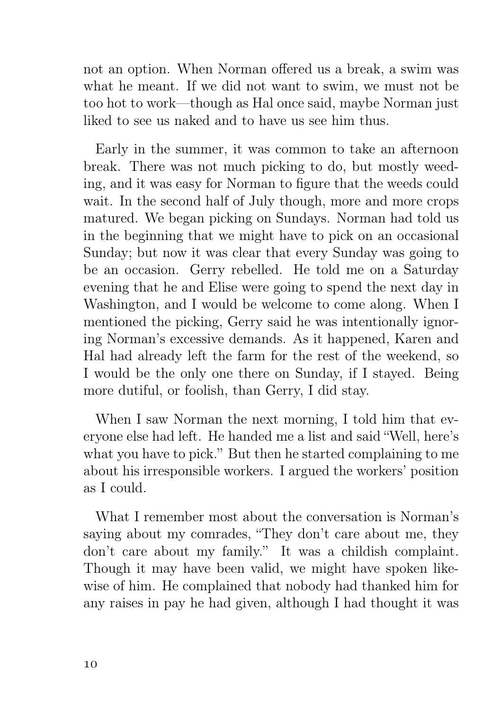not an option. When Norman offered us a break, a swim was what he meant. If we did not want to swim, we must not be too hot to work—though as Hal once said, maybe Norman just liked to see us naked and to have us see him thus.

Early in the summer, it was common to take an afternoon break. There was not much picking to do, but mostly weeding, and it was easy for Norman to figure that the weeds could wait. In the second half of July though, more and more crops matured. We began picking on Sundays. Norman had told us in the beginning that we might have to pick on an occasional Sunday; but now it was clear that every Sunday was going to be an occasion. Gerry rebelled. He told me on a Saturday evening that he and Elise were going to spend the next day in Washington, and I would be welcome to come along. When I mentioned the picking, Gerry said he was intentionally ignoring Norman's excessive demands. As it happened, Karen and Hal had already left the farm for the rest of the weekend, so I would be the only one there on Sunday, if I stayed. Being more dutiful, or foolish, than Gerry, I did stay.

When I saw Norman the next morning, I told him that everyone else had left. He handed me a list and said "Well, here's what you have to pick." But then he started complaining to me about his irresponsible workers. I argued the workers' position as I could.

What I remember most about the conversation is Norman's saying about my comrades, "They don't care about me, they don't care about my family." It was a childish complaint. Though it may have been valid, we might have spoken likewise of him. He complained that nobody had thanked him for any raises in pay he had given, although I had thought it was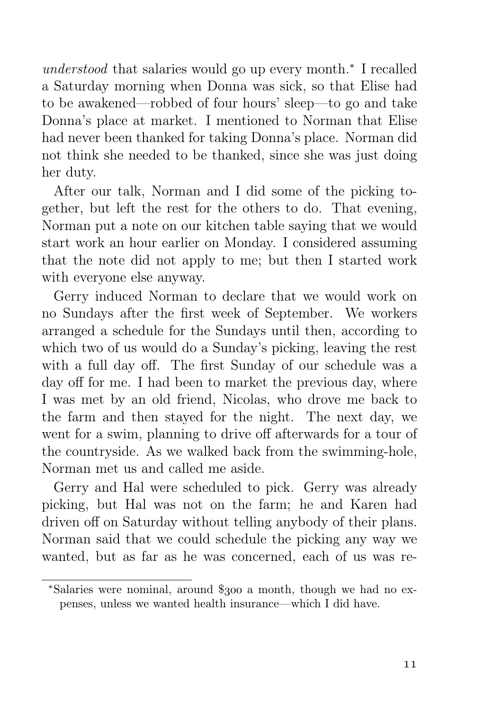understood that salaries would go up every month.<sup>∗</sup> I recalled a Saturday morning when Donna was sick, so that Elise had to be awakened—robbed of four hours' sleep—to go and take Donna's place at market. I mentioned to Norman that Elise had never been thanked for taking Donna's place. Norman did not think she needed to be thanked, since she was just doing her duty.

After our talk, Norman and I did some of the picking together, but left the rest for the others to do. That evening, Norman put a note on our kitchen table saying that we would start work an hour earlier on Monday. I considered assuming that the note did not apply to me; but then I started work with everyone else anyway.

Gerry induced Norman to declare that we would work on no Sundays after the first week of September. We workers arranged a schedule for the Sundays until then, according to which two of us would do a Sunday's picking, leaving the rest with a full day off. The first Sunday of our schedule was a day off for me. I had been to market the previous day, where I was met by an old friend, Nicolas, who drove me back to the farm and then stayed for the night. The next day, we went for a swim, planning to drive off afterwards for a tour of the countryside. As we walked back from the swimming-hole, Norman met us and called me aside.

Gerry and Hal were scheduled to pick. Gerry was already picking, but Hal was not on the farm; he and Karen had driven off on Saturday without telling anybody of their plans. Norman said that we could schedule the picking any way we wanted, but as far as he was concerned, each of us was re-

<sup>\*</sup>Salaries were nominal, around \$300 a month, though we had no expenses, unless we wanted health insurance—which I did have.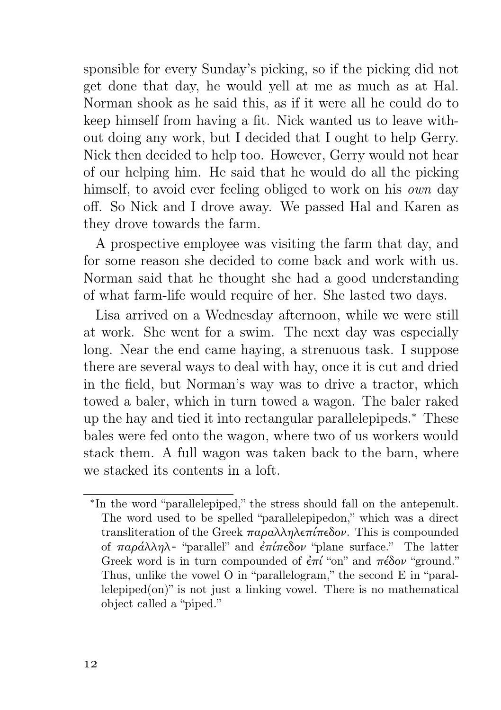sponsible for every Sunday's picking, so if the picking did not get done that day, he would yell at me as much as at Hal. Norman shook as he said this, as if it were all he could do to keep himself from having a fit. Nick wanted us to leave without doing any work, but I decided that I ought to help Gerry. Nick then decided to help too. However, Gerry would not hear of our helping him. He said that he would do all the picking himself, to avoid ever feeling obliged to work on his *own* day off. So Nick and I drove away. We passed Hal and Karen as they drove towards the farm.

A prospective employee was visiting the farm that day, and for some reason she decided to come back and work with us. Norman said that he thought she had a good understanding of what farm-life would require of her. She lasted two days.

Lisa arrived on a Wednesday afternoon, while we were still at work. She went for a swim. The next day was especially long. Near the end came haying, a strenuous task. I suppose there are several ways to deal with hay, once it is cut and dried in the field, but Norman's way was to drive a tractor, which towed a baler, which in turn towed a wagon. The baler raked up the hay and tied it into rectangular parallelepipeds.<sup>∗</sup> These bales were fed onto the wagon, where two of us workers would stack them. A full wagon was taken back to the barn, where we stacked its contents in a loft.

<sup>∗</sup> In the word "parallelepiped," the stress should fall on the antepenult. The word used to be spelled "parallelepipedon," which was a direct transliteration of the Greek  $\pi \alpha \rho \alpha \lambda \lambda \eta \lambda \epsilon \pi \eta \epsilon \delta \omega$ . This is compounded of παράλληλ- "parallel" and ἐπίπεδον "plane surface." The latter Greek word is in turn compounded of  $\epsilon \pi i$  "on" and  $\pi \epsilon \delta o \nu$  "ground." Thus, unlike the vowel O in "parallelogram," the second E in "paral $lelepiped(on)$ " is not just a linking vowel. There is no mathematical object called a "piped."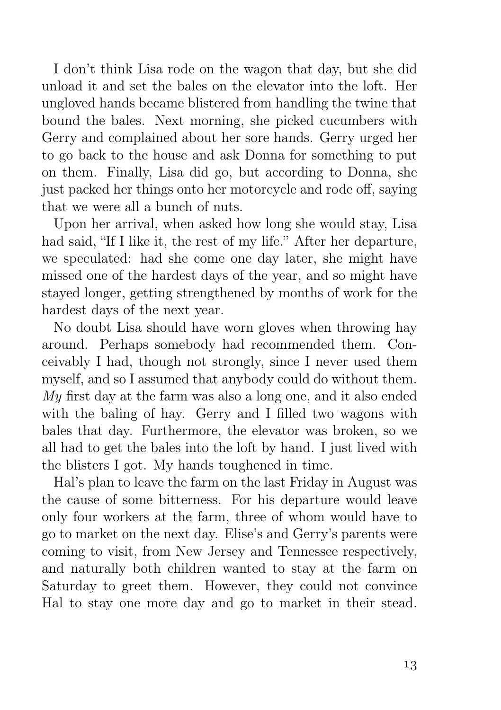I don't think Lisa rode on the wagon that day, but she did unload it and set the bales on the elevator into the loft. Her ungloved hands became blistered from handling the twine that bound the bales. Next morning, she picked cucumbers with Gerry and complained about her sore hands. Gerry urged her to go back to the house and ask Donna for something to put on them. Finally, Lisa did go, but according to Donna, she just packed her things onto her motorcycle and rode off, saying that we were all a bunch of nuts.

Upon her arrival, when asked how long she would stay, Lisa had said, "If I like it, the rest of my life." After her departure, we speculated: had she come one day later, she might have missed one of the hardest days of the year, and so might have stayed longer, getting strengthened by months of work for the hardest days of the next year.

No doubt Lisa should have worn gloves when throwing hay around. Perhaps somebody had recommended them. Conceivably I had, though not strongly, since I never used them myself, and so I assumed that anybody could do without them.  $My$  first day at the farm was also a long one, and it also ended with the baling of hay. Gerry and I filled two wagons with bales that day. Furthermore, the elevator was broken, so we all had to get the bales into the loft by hand. I just lived with the blisters I got. My hands toughened in time.

Hal's plan to leave the farm on the last Friday in August was the cause of some bitterness. For his departure would leave only four workers at the farm, three of whom would have to go to market on the next day. Elise's and Gerry's parents were coming to visit, from New Jersey and Tennessee respectively, and naturally both children wanted to stay at the farm on Saturday to greet them. However, they could not convince Hal to stay one more day and go to market in their stead.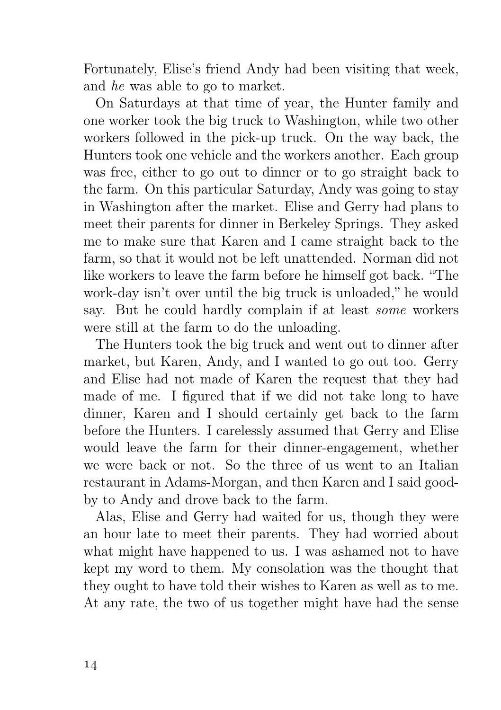Fortunately, Elise's friend Andy had been visiting that week, and he was able to go to market.

On Saturdays at that time of year, the Hunter family and one worker took the big truck to Washington, while two other workers followed in the pick-up truck. On the way back, the Hunters took one vehicle and the workers another. Each group was free, either to go out to dinner or to go straight back to the farm. On this particular Saturday, Andy was going to stay in Washington after the market. Elise and Gerry had plans to meet their parents for dinner in Berkeley Springs. They asked me to make sure that Karen and I came straight back to the farm, so that it would not be left unattended. Norman did not like workers to leave the farm before he himself got back. "The work-day isn't over until the big truck is unloaded," he would say. But he could hardly complain if at least some workers were still at the farm to do the unloading.

The Hunters took the big truck and went out to dinner after market, but Karen, Andy, and I wanted to go out too. Gerry and Elise had not made of Karen the request that they had made of me. I figured that if we did not take long to have dinner, Karen and I should certainly get back to the farm before the Hunters. I carelessly assumed that Gerry and Elise would leave the farm for their dinner-engagement, whether we were back or not. So the three of us went to an Italian restaurant in Adams-Morgan, and then Karen and I said goodby to Andy and drove back to the farm.

Alas, Elise and Gerry had waited for us, though they were an hour late to meet their parents. They had worried about what might have happened to us. I was ashamed not to have kept my word to them. My consolation was the thought that they ought to have told their wishes to Karen as well as to me. At any rate, the two of us together might have had the sense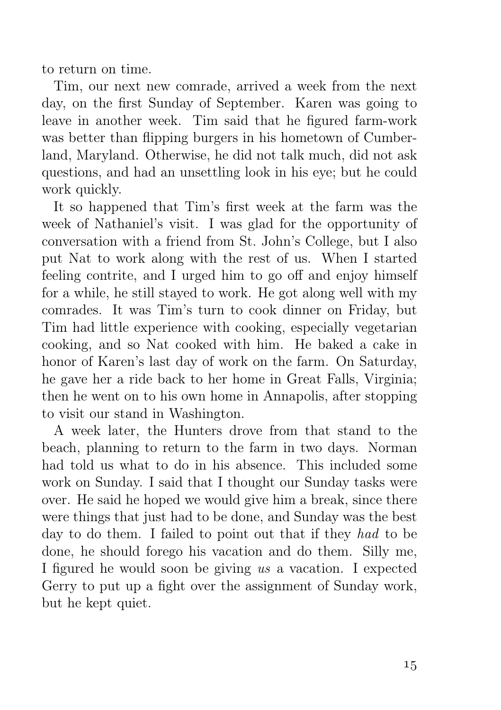to return on time.

Tim, our next new comrade, arrived a week from the next day, on the first Sunday of September. Karen was going to leave in another week. Tim said that he figured farm-work was better than flipping burgers in his hometown of Cumberland, Maryland. Otherwise, he did not talk much, did not ask questions, and had an unsettling look in his eye; but he could work quickly.

It so happened that Tim's first week at the farm was the week of Nathaniel's visit. I was glad for the opportunity of conversation with a friend from St. John's College, but I also put Nat to work along with the rest of us. When I started feeling contrite, and I urged him to go off and enjoy himself for a while, he still stayed to work. He got along well with my comrades. It was Tim's turn to cook dinner on Friday, but Tim had little experience with cooking, especially vegetarian cooking, and so Nat cooked with him. He baked a cake in honor of Karen's last day of work on the farm. On Saturday, he gave her a ride back to her home in Great Falls, Virginia; then he went on to his own home in Annapolis, after stopping to visit our stand in Washington.

A week later, the Hunters drove from that stand to the beach, planning to return to the farm in two days. Norman had told us what to do in his absence. This included some work on Sunday. I said that I thought our Sunday tasks were over. He said he hoped we would give him a break, since there were things that just had to be done, and Sunday was the best day to do them. I failed to point out that if they had to be done, he should forego his vacation and do them. Silly me, I figured he would soon be giving us a vacation. I expected Gerry to put up a fight over the assignment of Sunday work, but he kept quiet.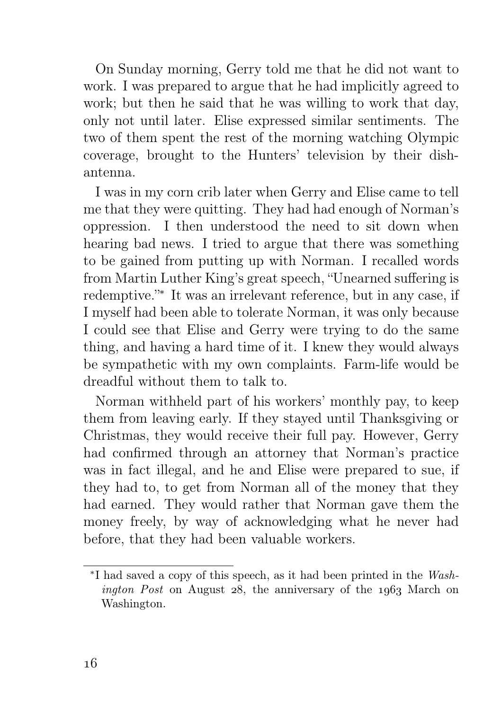On Sunday morning, Gerry told me that he did not want to work. I was prepared to argue that he had implicitly agreed to work; but then he said that he was willing to work that day, only not until later. Elise expressed similar sentiments. The two of them spent the rest of the morning watching Olympic coverage, brought to the Hunters' television by their dishantenna.

I was in my corn crib later when Gerry and Elise came to tell me that they were quitting. They had had enough of Norman's oppression. I then understood the need to sit down when hearing bad news. I tried to argue that there was something to be gained from putting up with Norman. I recalled words from Martin Luther King's great speech, "Unearned suffering is redemptive."<sup>∗</sup> It was an irrelevant reference, but in any case, if I myself had been able to tolerate Norman, it was only because I could see that Elise and Gerry were trying to do the same thing, and having a hard time of it. I knew they would always be sympathetic with my own complaints. Farm-life would be dreadful without them to talk to.

Norman withheld part of his workers' monthly pay, to keep them from leaving early. If they stayed until Thanksgiving or Christmas, they would receive their full pay. However, Gerry had confirmed through an attorney that Norman's practice was in fact illegal, and he and Elise were prepared to sue, if they had to, to get from Norman all of the money that they had earned. They would rather that Norman gave them the money freely, by way of acknowledging what he never had before, that they had been valuable workers.

<sup>∗</sup> I had saved a copy of this speech, as it had been printed in the Wash*ington Post* on August  $28$ , the anniversary of the  $1063$  March on Washington.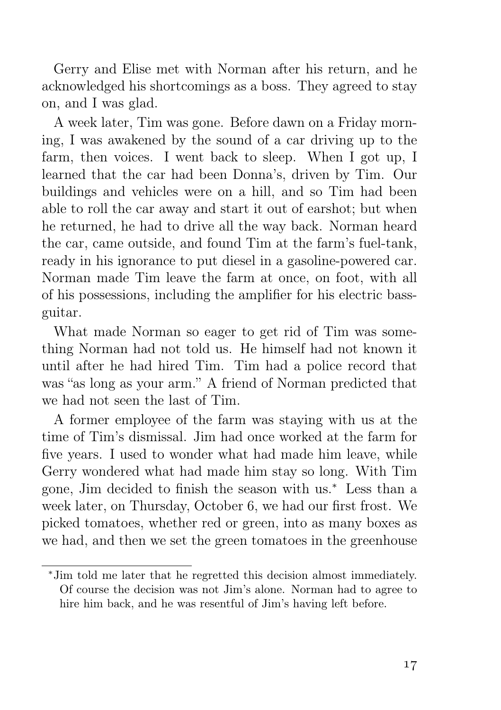Gerry and Elise met with Norman after his return, and he acknowledged his shortcomings as a boss. They agreed to stay on, and I was glad.

A week later, Tim was gone. Before dawn on a Friday morning, I was awakened by the sound of a car driving up to the farm, then voices. I went back to sleep. When I got up, I learned that the car had been Donna's, driven by Tim. Our buildings and vehicles were on a hill, and so Tim had been able to roll the car away and start it out of earshot; but when he returned, he had to drive all the way back. Norman heard the car, came outside, and found Tim at the farm's fuel-tank, ready in his ignorance to put diesel in a gasoline-powered car. Norman made Tim leave the farm at once, on foot, with all of his possessions, including the amplifier for his electric bassguitar.

What made Norman so eager to get rid of Tim was something Norman had not told us. He himself had not known it until after he had hired Tim. Tim had a police record that was "as long as your arm." A friend of Norman predicted that we had not seen the last of Tim.

A former employee of the farm was staying with us at the time of Tim's dismissal. Jim had once worked at the farm for five years. I used to wonder what had made him leave, while Gerry wondered what had made him stay so long. With Tim gone, Jim decided to finish the season with us.<sup>∗</sup> Less than a week later, on Thursday, October 6, we had our first frost. We picked tomatoes, whether red or green, into as many boxes as we had, and then we set the green tomatoes in the greenhouse

<sup>∗</sup>Jim told me later that he regretted this decision almost immediately. Of course the decision was not Jim's alone. Norman had to agree to hire him back, and he was resentful of Jim's having left before.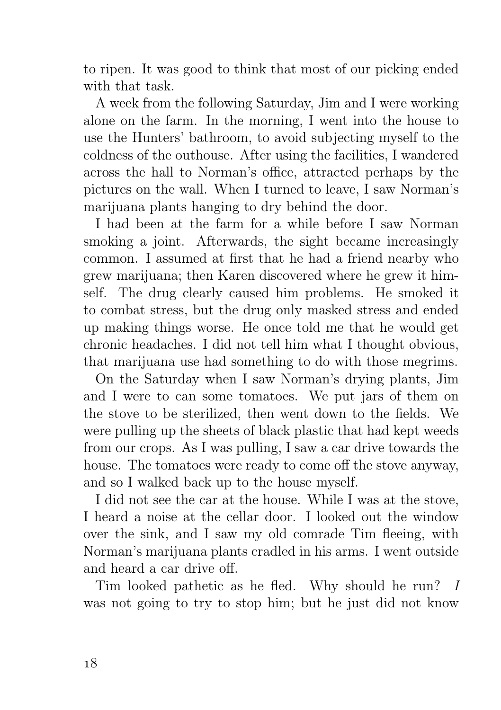to ripen. It was good to think that most of our picking ended with that task.

A week from the following Saturday, Jim and I were working alone on the farm. In the morning, I went into the house to use the Hunters' bathroom, to avoid subjecting myself to the coldness of the outhouse. After using the facilities, I wandered across the hall to Norman's office, attracted perhaps by the pictures on the wall. When I turned to leave, I saw Norman's marijuana plants hanging to dry behind the door.

I had been at the farm for a while before I saw Norman smoking a joint. Afterwards, the sight became increasingly common. I assumed at first that he had a friend nearby who grew marijuana; then Karen discovered where he grew it himself. The drug clearly caused him problems. He smoked it to combat stress, but the drug only masked stress and ended up making things worse. He once told me that he would get chronic headaches. I did not tell him what I thought obvious, that marijuana use had something to do with those megrims.

On the Saturday when I saw Norman's drying plants, Jim and I were to can some tomatoes. We put jars of them on the stove to be sterilized, then went down to the fields. We were pulling up the sheets of black plastic that had kept weeds from our crops. As I was pulling, I saw a car drive towards the house. The tomatoes were ready to come off the stove anyway, and so I walked back up to the house myself.

I did not see the car at the house. While I was at the stove, I heard a noise at the cellar door. I looked out the window over the sink, and I saw my old comrade Tim fleeing, with Norman's marijuana plants cradled in his arms. I went outside and heard a car drive off.

Tim looked pathetic as he fled. Why should he run? I was not going to try to stop him; but he just did not know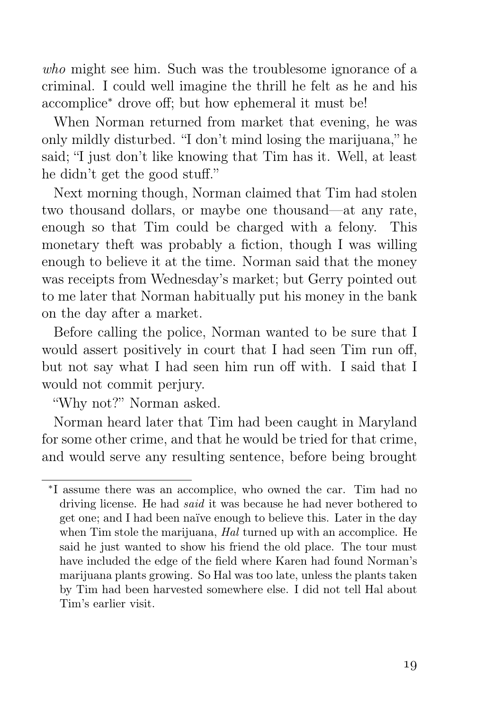who might see him. Such was the troublesome ignorance of a criminal. I could well imagine the thrill he felt as he and his accomplice<sup>∗</sup> drove off; but how ephemeral it must be!

When Norman returned from market that evening, he was only mildly disturbed. "I don't mind losing the marijuana," he said; "I just don't like knowing that Tim has it. Well, at least he didn't get the good stuff."

Next morning though, Norman claimed that Tim had stolen two thousand dollars, or maybe one thousand—at any rate, enough so that Tim could be charged with a felony. This monetary theft was probably a fiction, though I was willing enough to believe it at the time. Norman said that the money was receipts from Wednesday's market; but Gerry pointed out to me later that Norman habitually put his money in the bank on the day after a market.

Before calling the police, Norman wanted to be sure that I would assert positively in court that I had seen Tim run off, but not say what I had seen him run off with. I said that I would not commit perjury.

"Why not?" Norman asked.

Norman heard later that Tim had been caught in Maryland for some other crime, and that he would be tried for that crime, and would serve any resulting sentence, before being brought

<sup>∗</sup> I assume there was an accomplice, who owned the car. Tim had no driving license. He had said it was because he had never bothered to get one; and I had been naïve enough to believe this. Later in the day when Tim stole the marijuana, Hal turned up with an accomplice. He said he just wanted to show his friend the old place. The tour must have included the edge of the field where Karen had found Norman's marijuana plants growing. So Hal was too late, unless the plants taken by Tim had been harvested somewhere else. I did not tell Hal about Tim's earlier visit.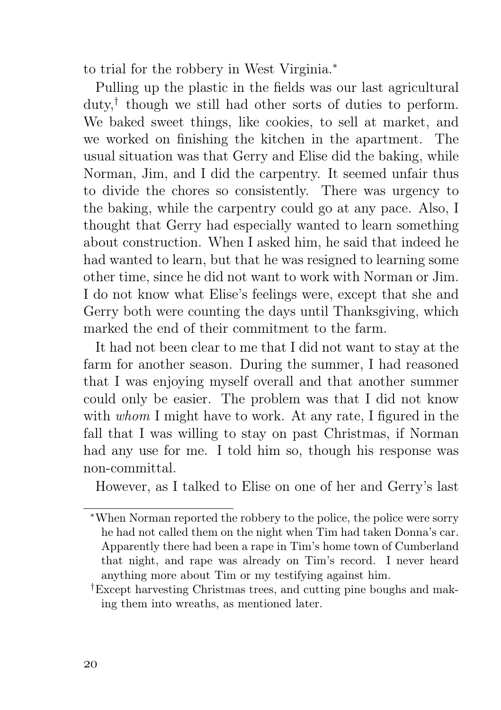to trial for the robbery in West Virginia.<sup>∗</sup>

Pulling up the plastic in the fields was our last agricultural duty,† though we still had other sorts of duties to perform. We baked sweet things, like cookies, to sell at market, and we worked on finishing the kitchen in the apartment. The usual situation was that Gerry and Elise did the baking, while Norman, Jim, and I did the carpentry. It seemed unfair thus to divide the chores so consistently. There was urgency to the baking, while the carpentry could go at any pace. Also, I thought that Gerry had especially wanted to learn something about construction. When I asked him, he said that indeed he had wanted to learn, but that he was resigned to learning some other time, since he did not want to work with Norman or Jim. I do not know what Elise's feelings were, except that she and Gerry both were counting the days until Thanksgiving, which marked the end of their commitment to the farm.

It had not been clear to me that I did not want to stay at the farm for another season. During the summer, I had reasoned that I was enjoying myself overall and that another summer could only be easier. The problem was that I did not know with *whom* I might have to work. At any rate, I figured in the fall that I was willing to stay on past Christmas, if Norman had any use for me. I told him so, though his response was non-committal.

However, as I talked to Elise on one of her and Gerry's last

<sup>∗</sup>When Norman reported the robbery to the police, the police were sorry he had not called them on the night when Tim had taken Donna's car. Apparently there had been a rape in Tim's home town of Cumberland that night, and rape was already on Tim's record. I never heard anything more about Tim or my testifying against him.

<sup>†</sup>Except harvesting Christmas trees, and cutting pine boughs and making them into wreaths, as mentioned later.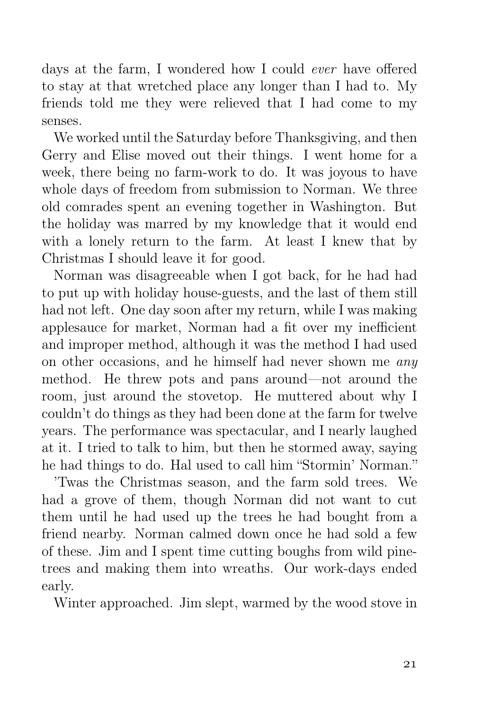days at the farm, I wondered how I could ever have offered to stay at that wretched place any longer than I had to. My friends told me they were relieved that I had come to my senses.

We worked until the Saturday before Thanksgiving, and then Gerry and Elise moved out their things. I went home for a week, there being no farm-work to do. It was joyous to have whole days of freedom from submission to Norman. We three old comrades spent an evening together in Washington. But the holiday was marred by my knowledge that it would end with a lonely return to the farm. At least I knew that by Christmas I should leave it for good.

Norman was disagreeable when I got back, for he had had to put up with holiday house-guests, and the last of them still had not left. One day soon after my return, while I was making applesauce for market, Norman had a fit over my inefficient and improper method, although it was the method I had used on other occasions, and he himself had never shown me any method. He threw pots and pans around—not around the room, just around the stovetop. He muttered about why I couldn't do things as they had been done at the farm for twelve years. The performance was spectacular, and I nearly laughed at it. I tried to talk to him, but then he stormed away, saying he had things to do. Hal used to call him "Stormin' Norman."

'Twas the Christmas season, and the farm sold trees. We had a grove of them, though Norman did not want to cut them until he had used up the trees he had bought from a friend nearby. Norman calmed down once he had sold a few of these. Jim and I spent time cutting boughs from wild pinetrees and making them into wreaths. Our work-days ended early.

Winter approached. Jim slept, warmed by the wood stove in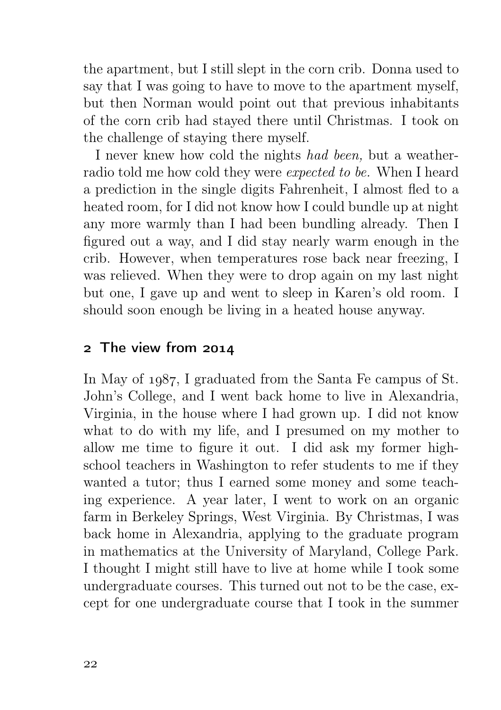the apartment, but I still slept in the corn crib. Donna used to say that I was going to have to move to the apartment myself, but then Norman would point out that previous inhabitants of the corn crib had stayed there until Christmas. I took on the challenge of staying there myself.

I never knew how cold the nights had been, but a weatherradio told me how cold they were expected to be. When I heard a prediction in the single digits Fahrenheit, I almost fled to a heated room, for I did not know how I could bundle up at night any more warmly than I had been bundling already. Then I figured out a way, and I did stay nearly warm enough in the crib. However, when temperatures rose back near freezing, I was relieved. When they were to drop again on my last night but one, I gave up and went to sleep in Karen's old room. I should soon enough be living in a heated house anyway.

## 2 The view from 2014

In May of 1987, I graduated from the Santa Fe campus of St. John's College, and I went back home to live in Alexandria, Virginia, in the house where I had grown up. I did not know what to do with my life, and I presumed on my mother to allow me time to figure it out. I did ask my former highschool teachers in Washington to refer students to me if they wanted a tutor; thus I earned some money and some teaching experience. A year later, I went to work on an organic farm in Berkeley Springs, West Virginia. By Christmas, I was back home in Alexandria, applying to the graduate program in mathematics at the University of Maryland, College Park. I thought I might still have to live at home while I took some undergraduate courses. This turned out not to be the case, except for one undergraduate course that I took in the summer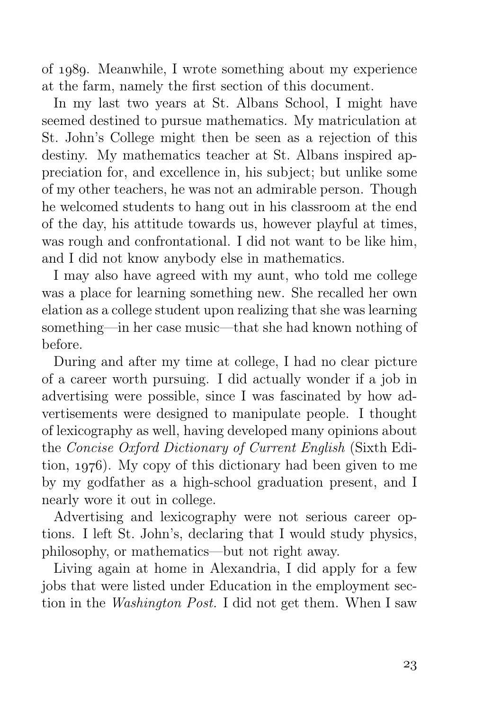of 1989. Meanwhile, I wrote something about my experience at the farm, namely the first section of this document.

In my last two years at St. Albans School, I might have seemed destined to pursue mathematics. My matriculation at St. John's College might then be seen as a rejection of this destiny. My mathematics teacher at St. Albans inspired appreciation for, and excellence in, his subject; but unlike some of my other teachers, he was not an admirable person. Though he welcomed students to hang out in his classroom at the end of the day, his attitude towards us, however playful at times, was rough and confrontational. I did not want to be like him, and I did not know anybody else in mathematics.

I may also have agreed with my aunt, who told me college was a place for learning something new. She recalled her own elation as a college student upon realizing that she was learning something—in her case music—that she had known nothing of before.

During and after my time at college, I had no clear picture of a career worth pursuing. I did actually wonder if a job in advertising were possible, since I was fascinated by how advertisements were designed to manipulate people. I thought of lexicography as well, having developed many opinions about the Concise Oxford Dictionary of Current English (Sixth Edition,  $1976$ ). My copy of this dictionary had been given to me by my godfather as a high-school graduation present, and I nearly wore it out in college.

Advertising and lexicography were not serious career options. I left St. John's, declaring that I would study physics, philosophy, or mathematics—but not right away.

Living again at home in Alexandria, I did apply for a few jobs that were listed under Education in the employment section in the Washington Post. I did not get them. When I saw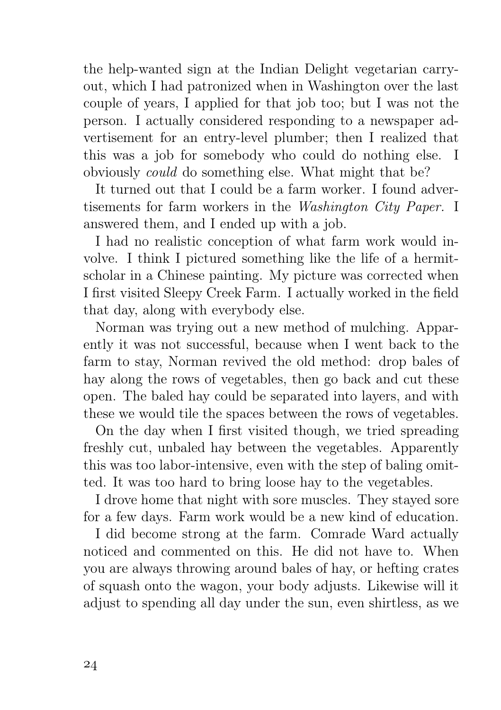the help-wanted sign at the Indian Delight vegetarian carryout, which I had patronized when in Washington over the last couple of years, I applied for that job too; but I was not the person. I actually considered responding to a newspaper advertisement for an entry-level plumber; then I realized that this was a job for somebody who could do nothing else. I obviously could do something else. What might that be?

It turned out that I could be a farm worker. I found advertisements for farm workers in the Washington City Paper. I answered them, and I ended up with a job.

I had no realistic conception of what farm work would involve. I think I pictured something like the life of a hermitscholar in a Chinese painting. My picture was corrected when I first visited Sleepy Creek Farm. I actually worked in the field that day, along with everybody else.

Norman was trying out a new method of mulching. Apparently it was not successful, because when I went back to the farm to stay, Norman revived the old method: drop bales of hay along the rows of vegetables, then go back and cut these open. The baled hay could be separated into layers, and with these we would tile the spaces between the rows of vegetables.

On the day when I first visited though, we tried spreading freshly cut, unbaled hay between the vegetables. Apparently this was too labor-intensive, even with the step of baling omitted. It was too hard to bring loose hay to the vegetables.

I drove home that night with sore muscles. They stayed sore for a few days. Farm work would be a new kind of education.

I did become strong at the farm. Comrade Ward actually noticed and commented on this. He did not have to. When you are always throwing around bales of hay, or hefting crates of squash onto the wagon, your body adjusts. Likewise will it adjust to spending all day under the sun, even shirtless, as we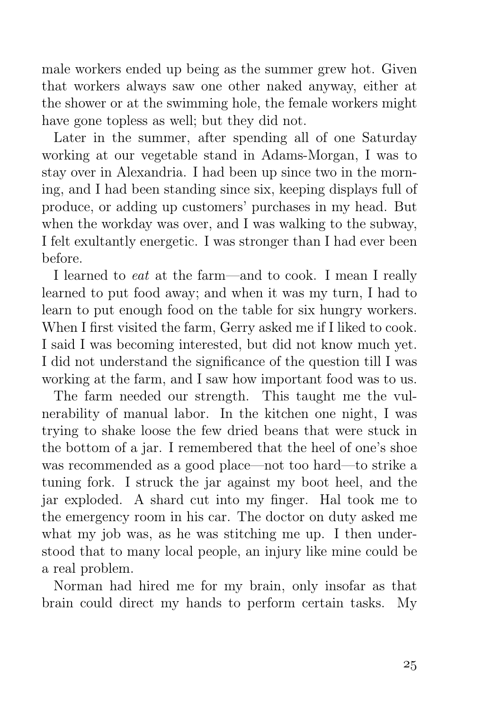male workers ended up being as the summer grew hot. Given that workers always saw one other naked anyway, either at the shower or at the swimming hole, the female workers might have gone topless as well; but they did not.

Later in the summer, after spending all of one Saturday working at our vegetable stand in Adams-Morgan, I was to stay over in Alexandria. I had been up since two in the morning, and I had been standing since six, keeping displays full of produce, or adding up customers' purchases in my head. But when the workday was over, and I was walking to the subway, I felt exultantly energetic. I was stronger than I had ever been before.

I learned to eat at the farm—and to cook. I mean I really learned to put food away; and when it was my turn, I had to learn to put enough food on the table for six hungry workers. When I first visited the farm, Gerry asked me if I liked to cook. I said I was becoming interested, but did not know much yet. I did not understand the significance of the question till I was working at the farm, and I saw how important food was to us.

The farm needed our strength. This taught me the vulnerability of manual labor. In the kitchen one night, I was trying to shake loose the few dried beans that were stuck in the bottom of a jar. I remembered that the heel of one's shoe was recommended as a good place—not too hard—to strike a tuning fork. I struck the jar against my boot heel, and the jar exploded. A shard cut into my finger. Hal took me to the emergency room in his car. The doctor on duty asked me what my job was, as he was stitching me up. I then understood that to many local people, an injury like mine could be a real problem.

Norman had hired me for my brain, only insofar as that brain could direct my hands to perform certain tasks. My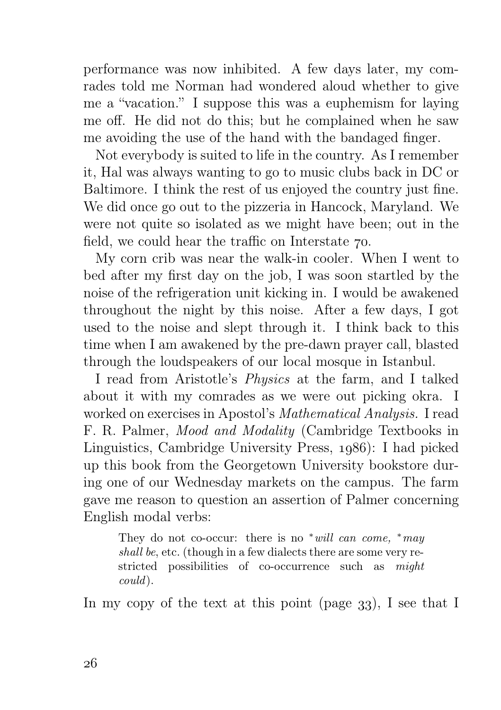performance was now inhibited. A few days later, my comrades told me Norman had wondered aloud whether to give me a "vacation." I suppose this was a euphemism for laying me off. He did not do this; but he complained when he saw me avoiding the use of the hand with the bandaged finger.

Not everybody is suited to life in the country. As I remember it, Hal was always wanting to go to music clubs back in DC or Baltimore. I think the rest of us enjoyed the country just fine. We did once go out to the pizzeria in Hancock, Maryland. We were not quite so isolated as we might have been; out in the field, we could hear the traffic on Interstate  $\infty$ .

My corn crib was near the walk-in cooler. When I went to bed after my first day on the job, I was soon startled by the noise of the refrigeration unit kicking in. I would be awakened throughout the night by this noise. After a few days, I got used to the noise and slept through it. I think back to this time when I am awakened by the pre-dawn prayer call, blasted through the loudspeakers of our local mosque in Istanbul.

I read from Aristotle's Physics at the farm, and I talked about it with my comrades as we were out picking okra. I worked on exercises in Apostol's Mathematical Analysis. I read F. R. Palmer, Mood and Modality (Cambridge Textbooks in Linguistics, Cambridge University Press, 1986): I had picked up this book from the Georgetown University bookstore during one of our Wednesday markets on the campus. The farm gave me reason to question an assertion of Palmer concerning English modal verbs:

They do not co-occur: there is no  $*will can come, *may$ shall be, etc. (though in a few dialects there are some very restricted possibilities of co-occurrence such as might could).

In my copy of the text at this point (page  $33$ ), I see that I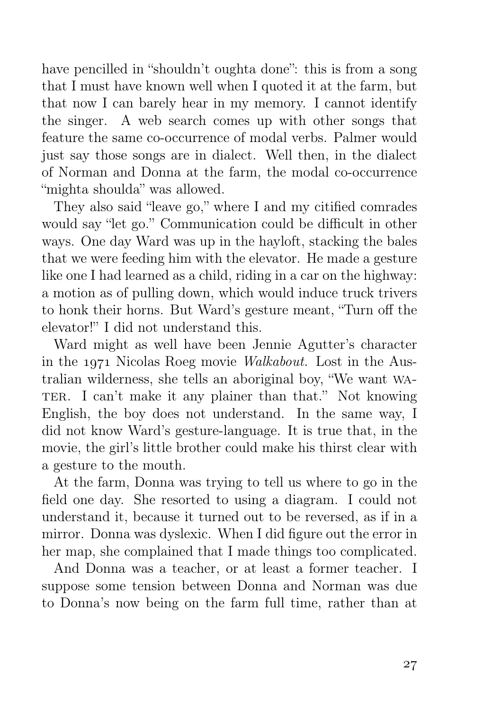have pencilled in "shouldn't oughta done": this is from a song that I must have known well when I quoted it at the farm, but that now I can barely hear in my memory. I cannot identify the singer. A web search comes up with other songs that feature the same co-occurrence of modal verbs. Palmer would just say those songs are in dialect. Well then, in the dialect of Norman and Donna at the farm, the modal co-occurrence "mighta shoulda" was allowed.

They also said "leave go," where I and my citified comrades would say "let go." Communication could be difficult in other ways. One day Ward was up in the hayloft, stacking the bales that we were feeding him with the elevator. He made a gesture like one I had learned as a child, riding in a car on the highway: a motion as of pulling down, which would induce truck trivers to honk their horns. But Ward's gesture meant, "Turn off the elevator!" I did not understand this.

Ward might as well have been Jennie Agutter's character in the 1971 Nicolas Roeg movie *Walkabout*. Lost in the Australian wilderness, she tells an aboriginal boy, "We want wa-TER. I can't make it any plainer than that." Not knowing English, the boy does not understand. In the same way, I did not know Ward's gesture-language. It is true that, in the movie, the girl's little brother could make his thirst clear with a gesture to the mouth.

At the farm, Donna was trying to tell us where to go in the field one day. She resorted to using a diagram. I could not understand it, because it turned out to be reversed, as if in a mirror. Donna was dyslexic. When I did figure out the error in her map, she complained that I made things too complicated.

And Donna was a teacher, or at least a former teacher. I suppose some tension between Donna and Norman was due to Donna's now being on the farm full time, rather than at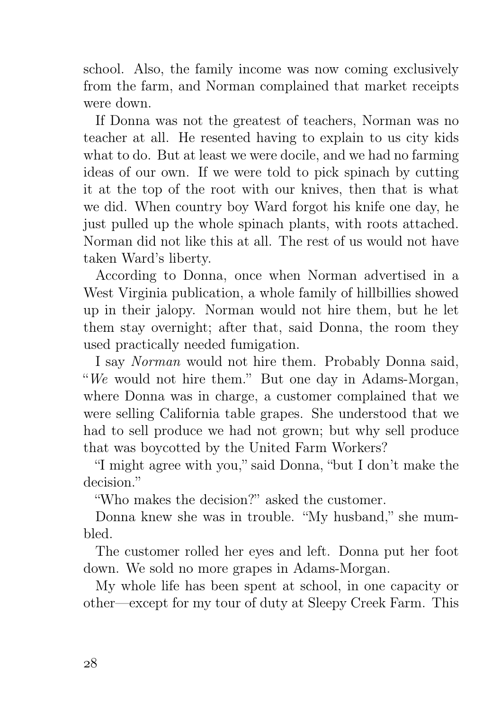school. Also, the family income was now coming exclusively from the farm, and Norman complained that market receipts were down.

If Donna was not the greatest of teachers, Norman was no teacher at all. He resented having to explain to us city kids what to do. But at least we were docile, and we had no farming ideas of our own. If we were told to pick spinach by cutting it at the top of the root with our knives, then that is what we did. When country boy Ward forgot his knife one day, he just pulled up the whole spinach plants, with roots attached. Norman did not like this at all. The rest of us would not have taken Ward's liberty.

According to Donna, once when Norman advertised in a West Virginia publication, a whole family of hillbillies showed up in their jalopy. Norman would not hire them, but he let them stay overnight; after that, said Donna, the room they used practically needed fumigation.

I say Norman would not hire them. Probably Donna said, "We would not hire them." But one day in Adams-Morgan, where Donna was in charge, a customer complained that we were selling California table grapes. She understood that we had to sell produce we had not grown; but why sell produce that was boycotted by the United Farm Workers?

"I might agree with you," said Donna, "but I don't make the decision."

"Who makes the decision?" asked the customer.

Donna knew she was in trouble. "My husband," she mumbled.

The customer rolled her eyes and left. Donna put her foot down. We sold no more grapes in Adams-Morgan.

My whole life has been spent at school, in one capacity or other—except for my tour of duty at Sleepy Creek Farm. This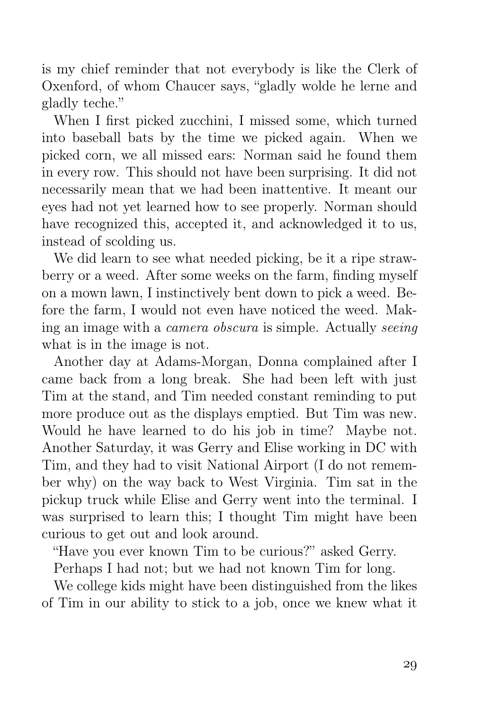is my chief reminder that not everybody is like the Clerk of Oxenford, of whom Chaucer says, "gladly wolde he lerne and gladly teche."

When I first picked zucchini, I missed some, which turned into baseball bats by the time we picked again. When we picked corn, we all missed ears: Norman said he found them in every row. This should not have been surprising. It did not necessarily mean that we had been inattentive. It meant our eyes had not yet learned how to see properly. Norman should have recognized this, accepted it, and acknowledged it to us, instead of scolding us.

We did learn to see what needed picking, be it a ripe strawberry or a weed. After some weeks on the farm, finding myself on a mown lawn, I instinctively bent down to pick a weed. Before the farm, I would not even have noticed the weed. Making an image with a camera obscura is simple. Actually seeing what is in the image is not.

Another day at Adams-Morgan, Donna complained after I came back from a long break. She had been left with just Tim at the stand, and Tim needed constant reminding to put more produce out as the displays emptied. But Tim was new. Would he have learned to do his job in time? Maybe not. Another Saturday, it was Gerry and Elise working in DC with Tim, and they had to visit National Airport (I do not remember why) on the way back to West Virginia. Tim sat in the pickup truck while Elise and Gerry went into the terminal. I was surprised to learn this; I thought Tim might have been curious to get out and look around.

"Have you ever known Tim to be curious?" asked Gerry.

Perhaps I had not; but we had not known Tim for long.

We college kids might have been distinguished from the likes of Tim in our ability to stick to a job, once we knew what it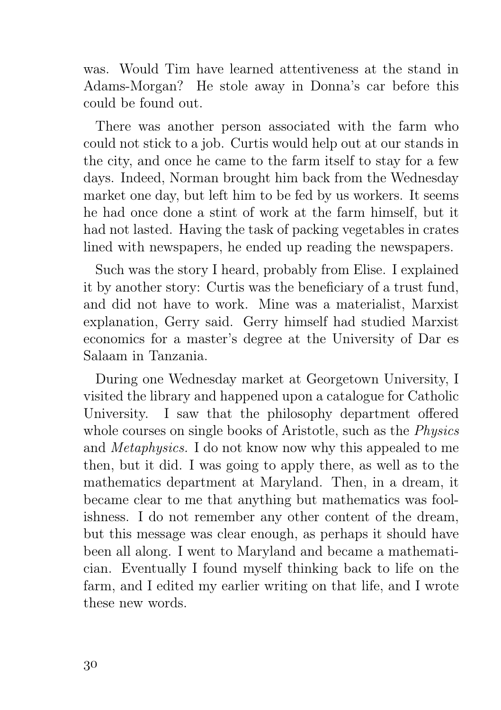was. Would Tim have learned attentiveness at the stand in Adams-Morgan? He stole away in Donna's car before this could be found out.

There was another person associated with the farm who could not stick to a job. Curtis would help out at our stands in the city, and once he came to the farm itself to stay for a few days. Indeed, Norman brought him back from the Wednesday market one day, but left him to be fed by us workers. It seems he had once done a stint of work at the farm himself, but it had not lasted. Having the task of packing vegetables in crates lined with newspapers, he ended up reading the newspapers.

Such was the story I heard, probably from Elise. I explained it by another story: Curtis was the beneficiary of a trust fund, and did not have to work. Mine was a materialist, Marxist explanation, Gerry said. Gerry himself had studied Marxist economics for a master's degree at the University of Dar es Salaam in Tanzania.

During one Wednesday market at Georgetown University, I visited the library and happened upon a catalogue for Catholic University. I saw that the philosophy department offered whole courses on single books of Aristotle, such as the Physics and Metaphysics. I do not know now why this appealed to me then, but it did. I was going to apply there, as well as to the mathematics department at Maryland. Then, in a dream, it became clear to me that anything but mathematics was foolishness. I do not remember any other content of the dream, but this message was clear enough, as perhaps it should have been all along. I went to Maryland and became a mathematician. Eventually I found myself thinking back to life on the farm, and I edited my earlier writing on that life, and I wrote these new words.